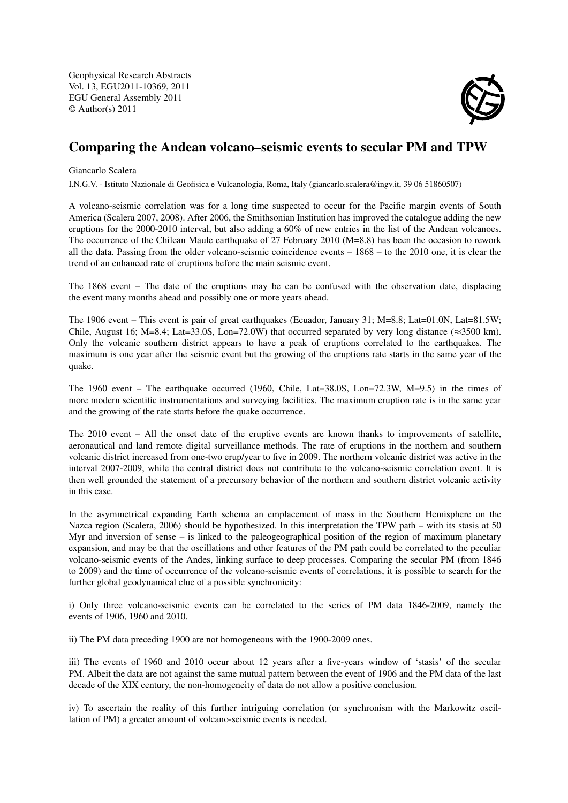Geophysical Research Abstracts Vol. 13, EGU2011-10369, 2011 EGU General Assembly 2011 © Author(s) 2011



## Comparing the Andean volcano–seismic events to secular PM and TPW

## Giancarlo Scalera

I.N.G.V. - Istituto Nazionale di Geofisica e Vulcanologia, Roma, Italy (giancarlo.scalera@ingv.it, 39 06 51860507)

A volcano-seismic correlation was for a long time suspected to occur for the Pacific margin events of South America (Scalera 2007, 2008). After 2006, the Smithsonian Institution has improved the catalogue adding the new eruptions for the 2000-2010 interval, but also adding a 60% of new entries in the list of the Andean volcanoes. The occurrence of the Chilean Maule earthquake of 27 February 2010 (M=8.8) has been the occasion to rework all the data. Passing from the older volcano-seismic coincidence events – 1868 – to the 2010 one, it is clear the trend of an enhanced rate of eruptions before the main seismic event.

The 1868 event – The date of the eruptions may be can be confused with the observation date, displacing the event many months ahead and possibly one or more years ahead.

The 1906 event – This event is pair of great earthquakes (Ecuador, January 31; M=8.8; Lat=01.0N, Lat=81.5W; Chile, August 16; M=8.4; Lat=33.0S, Lon=72.0W) that occurred separated by very long distance ( $\approx$ 3500 km). Only the volcanic southern district appears to have a peak of eruptions correlated to the earthquakes. The maximum is one year after the seismic event but the growing of the eruptions rate starts in the same year of the quake.

The 1960 event – The earthquake occurred (1960, Chile, Lat=38.0S, Lon=72.3W, M=9.5) in the times of more modern scientific instrumentations and surveying facilities. The maximum eruption rate is in the same year and the growing of the rate starts before the quake occurrence.

The 2010 event – All the onset date of the eruptive events are known thanks to improvements of satellite, aeronautical and land remote digital surveillance methods. The rate of eruptions in the northern and southern volcanic district increased from one-two erup/year to five in 2009. The northern volcanic district was active in the interval 2007-2009, while the central district does not contribute to the volcano-seismic correlation event. It is then well grounded the statement of a precursory behavior of the northern and southern district volcanic activity in this case.

In the asymmetrical expanding Earth schema an emplacement of mass in the Southern Hemisphere on the Nazca region (Scalera, 2006) should be hypothesized. In this interpretation the TPW path – with its stasis at 50 Myr and inversion of sense – is linked to the paleogeographical position of the region of maximum planetary expansion, and may be that the oscillations and other features of the PM path could be correlated to the peculiar volcano-seismic events of the Andes, linking surface to deep processes. Comparing the secular PM (from 1846 to 2009) and the time of occurrence of the volcano-seismic events of correlations, it is possible to search for the further global geodynamical clue of a possible synchronicity:

i) Only three volcano-seismic events can be correlated to the series of PM data 1846-2009, namely the events of 1906, 1960 and 2010.

ii) The PM data preceding 1900 are not homogeneous with the 1900-2009 ones.

iii) The events of 1960 and 2010 occur about 12 years after a five-years window of 'stasis' of the secular PM. Albeit the data are not against the same mutual pattern between the event of 1906 and the PM data of the last decade of the XIX century, the non-homogeneity of data do not allow a positive conclusion.

iv) To ascertain the reality of this further intriguing correlation (or synchronism with the Markowitz oscillation of PM) a greater amount of volcano-seismic events is needed.